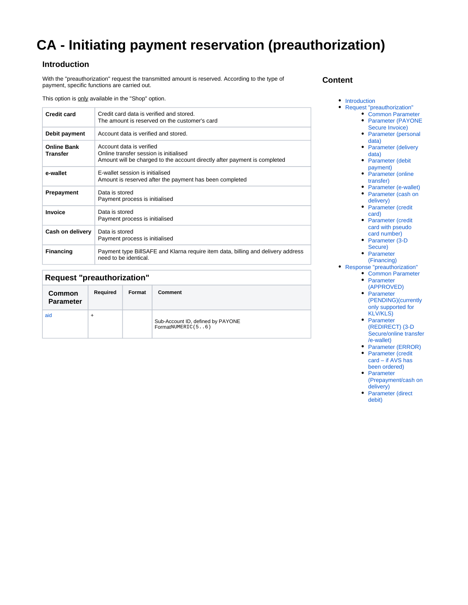# **CA - Initiating payment reservation (preauthorization)**

### <span id="page-0-0"></span>**Introduction**

With the "preauthorization" request the transmitted amount is reserved. According to the type of payment, specific functions are carried out.

This option is only available in the "Shop" option.

| <b>Credit card</b>                    | Credit card data is verified and stored.<br>The amount is reserved on the customer's card                                                       |
|---------------------------------------|-------------------------------------------------------------------------------------------------------------------------------------------------|
| Debit payment                         | Account data is verified and stored.                                                                                                            |
| <b>Online Bank</b><br><b>Transfer</b> | Account data is verified<br>Online transfer session is initialised<br>Amount will be charged to the account directly after payment is completed |
| e-wallet                              | E-wallet session is initialised<br>Amount is reserved after the payment has been completed                                                      |
| Prepayment                            | Data is stored<br>Payment process is initialised                                                                                                |
| Invoice                               | Data is stored<br>Payment process is initialised                                                                                                |
| Cash on delivery                      | Data is stored<br>Payment process is initialised                                                                                                |
| <b>Financing</b>                      | Payment type BillSAFE and Klarna require item data, billing and delivery address<br>need to be identical.                                       |

## <span id="page-0-1"></span>**Request "preauthorization"**

<span id="page-0-2"></span>

| <b>Common</b><br><b>Parameter</b> | Required | Format | Comment                                                |
|-----------------------------------|----------|--------|--------------------------------------------------------|
| aid                               | +        |        | Sub-Account ID, defined by PAYONE<br>FormatNUMERIC(56) |

#### **Content**

#### • [Introduction](#page-0-0)

- [Request "preauthorization"](#page-0-1)
	- [Common Parameter](#page-0-2) • Parameter (PAYONE
	- [Secure Invoice\)](#page-2-0)
	- Parameter (personal [data\)](#page-2-1)
	- Parameter (delivery [data\)](#page-5-0)
	- Parameter (debit [payment\)](#page-5-1)
	- Parameter (online [transfer\)](#page-6-0)
	- [Parameter \(e-wallet\)](#page-8-0)
	- [Parameter \(cash on](#page-10-0)   $\bullet$
	- [delivery\)](#page-10-0) • Parameter (credit [card\)](#page-10-1)
	- Parameter (credit [card with pseudo](#page-11-0)  [card number\)](#page-11-0)
	- Parameter (3-D) [Secure\)](#page-11-1)
	- Parameter [\(Financing\)](#page-12-0)
- [Response "preauthorization"](#page-13-0)
	- [Common Parameter](#page-13-1)
		- Parameter [\(APPROVED\)](#page-13-2)
		- Parameter [\(PENDING\)\(currently](#page-14-0)  [only supported for](#page-14-0)  [KLV/KLS\)](#page-14-0)
		- Parameter [\(REDIRECT\) \(3-D](#page-14-1)  [Secure/online transfer](#page-14-1) [/e-wallet\)](#page-14-1)
		- [Parameter \(ERROR\)](#page-14-2) • Parameter (credit
		- [card if AVS has](#page-14-3)  [been ordered\)](#page-14-3)
		- Parameter [\(Prepayment/cash on](#page-14-4)  [delivery\)](#page-14-4)
		- Parameter (direct [debit\)](#page-15-0)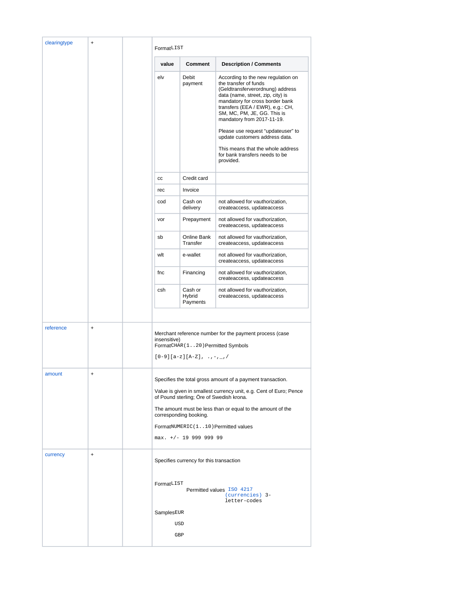| clearingtype | $\ddot{}$ | FormatLIST   |                                                                      |                                                                                                                                                                                                                                                                                                                                                                                                                                      |  |  |
|--------------|-----------|--------------|----------------------------------------------------------------------|--------------------------------------------------------------------------------------------------------------------------------------------------------------------------------------------------------------------------------------------------------------------------------------------------------------------------------------------------------------------------------------------------------------------------------------|--|--|
|              |           | value        | Comment                                                              | <b>Description / Comments</b>                                                                                                                                                                                                                                                                                                                                                                                                        |  |  |
|              |           | elv          | Debit<br>payment                                                     | According to the new regulation on<br>the transfer of funds<br>(Geldtransferverordnung) address<br>data (name, street, zip, city) is<br>mandatory for cross border bank<br>transfers (EEA / EWR), e.g.: CH,<br>SM, MC, PM, JE, GG. This is<br>mandatory from 2017-11-19.<br>Please use request "updateuser" to<br>update customers address data.<br>This means that the whole address<br>for bank transfers needs to be<br>provided. |  |  |
|              |           | CC           | Credit card                                                          |                                                                                                                                                                                                                                                                                                                                                                                                                                      |  |  |
|              |           | rec          | Invoice                                                              |                                                                                                                                                                                                                                                                                                                                                                                                                                      |  |  |
|              |           | cod          | Cash on<br>delivery                                                  | not allowed for vauthorization,<br>createaccess, updateaccess                                                                                                                                                                                                                                                                                                                                                                        |  |  |
|              |           | vor          | Prepayment                                                           | not allowed for vauthorization,<br>createaccess, updateaccess                                                                                                                                                                                                                                                                                                                                                                        |  |  |
|              |           | sb           | Online Bank<br>Transfer                                              | not allowed for vauthorization,<br>createaccess, updateaccess                                                                                                                                                                                                                                                                                                                                                                        |  |  |
|              |           | wlt          | e-wallet                                                             | not allowed for vauthorization,<br>createaccess, updateaccess                                                                                                                                                                                                                                                                                                                                                                        |  |  |
|              |           | fnc          | Financing                                                            | not allowed for vauthorization,<br>createaccess, updateaccess                                                                                                                                                                                                                                                                                                                                                                        |  |  |
|              |           | csh          | Cash or<br>Hybrid<br>Payments                                        | not allowed for vauthorization,<br>createaccess, updateaccess                                                                                                                                                                                                                                                                                                                                                                        |  |  |
|              |           |              |                                                                      |                                                                                                                                                                                                                                                                                                                                                                                                                                      |  |  |
| reference    | $\ddot{}$ | insensitive) | FormatCHAR (120) Permitted Symbols<br>$[0-9][a-z][A-Z], \ldots, -1/$ | Merchant reference number for the payment process (case                                                                                                                                                                                                                                                                                                                                                                              |  |  |
| amount       | $\ddot{}$ |              |                                                                      | Specifies the total gross amount of a payment transaction.                                                                                                                                                                                                                                                                                                                                                                           |  |  |
|              |           |              | of Pound sterling; Öre of Swedish krona.                             | Value is given in smallest currency unit, e.g. Cent of Euro; Pence                                                                                                                                                                                                                                                                                                                                                                   |  |  |
|              |           |              | corresponding booking.                                               | The amount must be less than or equal to the amount of the                                                                                                                                                                                                                                                                                                                                                                           |  |  |
|              |           |              |                                                                      | FormatNUMERIC(110) Permitted values                                                                                                                                                                                                                                                                                                                                                                                                  |  |  |
|              |           |              | max. +/- 19 999 999 99                                               |                                                                                                                                                                                                                                                                                                                                                                                                                                      |  |  |
| currency     | $\ddot{}$ |              | Specifies currency for this transaction                              |                                                                                                                                                                                                                                                                                                                                                                                                                                      |  |  |
|              |           | FormatLIST   |                                                                      | Permitted values ISO 4217<br>(currencies) 3-<br>letter-codes                                                                                                                                                                                                                                                                                                                                                                         |  |  |
|              |           | SamplesEUR   |                                                                      |                                                                                                                                                                                                                                                                                                                                                                                                                                      |  |  |
|              |           |              | USD                                                                  |                                                                                                                                                                                                                                                                                                                                                                                                                                      |  |  |
|              |           |              | GBP                                                                  |                                                                                                                                                                                                                                                                                                                                                                                                                                      |  |  |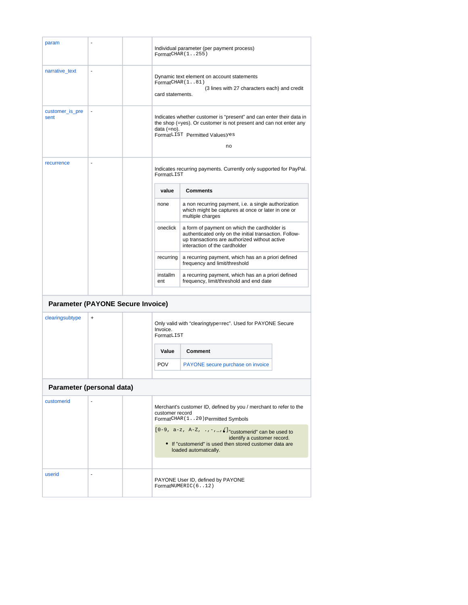<span id="page-2-1"></span><span id="page-2-0"></span>

| param                                    |           |          | Individual parameter (per payment process)<br>FormatCHAR (1255)                                                                                                                                 |                                                                                                                                                                                 |  |  |  |
|------------------------------------------|-----------|----------|-------------------------------------------------------------------------------------------------------------------------------------------------------------------------------------------------|---------------------------------------------------------------------------------------------------------------------------------------------------------------------------------|--|--|--|
| narrative_text                           |           |          |                                                                                                                                                                                                 |                                                                                                                                                                                 |  |  |  |
|                                          |           |          | FormatCHAR(181)                                                                                                                                                                                 | Dynamic text element on account statements                                                                                                                                      |  |  |  |
|                                          |           |          | card statements.                                                                                                                                                                                | (3 lines with 27 characters each) and credit                                                                                                                                    |  |  |  |
|                                          |           |          |                                                                                                                                                                                                 |                                                                                                                                                                                 |  |  |  |
| customer_is_pre<br>sent                  | ÷,        |          | Indicates whether customer is "present" and can enter their data in<br>the shop (=yes). Or customer is not present and can not enter any<br>data (=no).<br>FormatLIST Permitted Valuesyes<br>no |                                                                                                                                                                                 |  |  |  |
| recurrence                               | ä,        |          | FormatLIST                                                                                                                                                                                      | Indicates recurring payments. Currently only supported for PayPal.                                                                                                              |  |  |  |
|                                          |           |          | value                                                                                                                                                                                           | <b>Comments</b>                                                                                                                                                                 |  |  |  |
|                                          |           |          | none                                                                                                                                                                                            | a non recurring payment, i.e. a single authorization<br>which might be captures at once or later in one or<br>multiple charges                                                  |  |  |  |
|                                          |           | oneclick | a form of payment on which the cardholder is<br>authenticated only on the initial transaction. Follow-<br>up transactions are authorized without active<br>interaction of the cardholder        |                                                                                                                                                                                 |  |  |  |
|                                          |           |          | recurring                                                                                                                                                                                       | a recurring payment, which has an a priori defined<br>frequency and limit/threshold                                                                                             |  |  |  |
|                                          |           |          | installm<br>a recurring payment, which has an a priori defined<br>frequency, limit/threshold and end date<br>ent                                                                                |                                                                                                                                                                                 |  |  |  |
| <b>Parameter (PAYONE Secure Invoice)</b> |           |          |                                                                                                                                                                                                 |                                                                                                                                                                                 |  |  |  |
| clearingsubtype                          | $\ddot{}$ |          | Invoice.<br>FormatLIST                                                                                                                                                                          | Only valid with "clearingtype=rec". Used for PAYONE Secure                                                                                                                      |  |  |  |
|                                          |           |          | Value                                                                                                                                                                                           | <b>Comment</b>                                                                                                                                                                  |  |  |  |
|                                          |           |          | <b>POV</b>                                                                                                                                                                                      | PAYONE secure purchase on invoice                                                                                                                                               |  |  |  |
| Parameter (personal data)                |           |          |                                                                                                                                                                                                 |                                                                                                                                                                                 |  |  |  |
| customerid                               |           |          | customer record                                                                                                                                                                                 | Merchant's customer ID, defined by you / merchant to refer to the<br>FormatCHAR (120) Permitted Symbols                                                                         |  |  |  |
|                                          |           |          |                                                                                                                                                                                                 | $[0-9, a-z, A-Z, \ldots, -1, 1]$ "customerid" can be used to<br>identify a customer record.<br>• If "customerid" is used then stored customer data are<br>loaded automatically. |  |  |  |
| userid                                   |           |          |                                                                                                                                                                                                 | PAYONE User ID, defined by PAYONE<br>FormatNUMERIC(612)                                                                                                                         |  |  |  |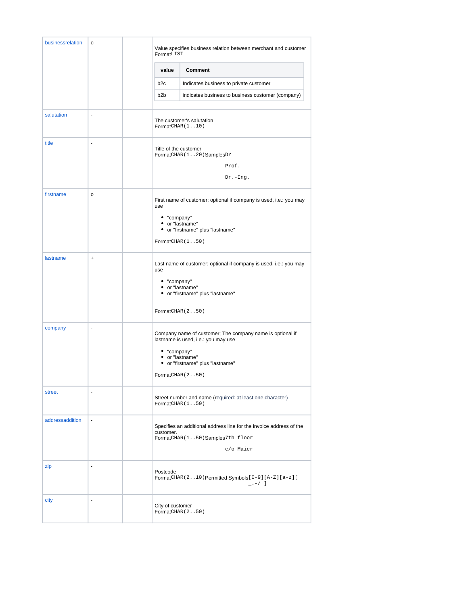| businessrelation | o                            | Value specifies business relation between merchant and customer<br>FormatLIST                                                                                                              |                                                                                                                     |  |  |  |
|------------------|------------------------------|--------------------------------------------------------------------------------------------------------------------------------------------------------------------------------------------|---------------------------------------------------------------------------------------------------------------------|--|--|--|
|                  |                              | value                                                                                                                                                                                      | <b>Comment</b>                                                                                                      |  |  |  |
|                  |                              | b <sub>2c</sub>                                                                                                                                                                            | Indicates business to private customer                                                                              |  |  |  |
|                  |                              | b <sub>2</sub> b                                                                                                                                                                           | indicates business to business customer (company)                                                                   |  |  |  |
| salutation       | ÷,                           | The customer's salutation<br>FormatCHAR(1.10)                                                                                                                                              |                                                                                                                     |  |  |  |
| title            | ÷,                           | Title of the customer<br>FormatCHAR(120)SamplesDr<br>Prof.<br>$Dr.-Ing.$                                                                                                                   |                                                                                                                     |  |  |  |
| firstname        | $\mathsf{o}$                 | First name of customer; optional if company is used, i.e.: you may<br>use<br>• "company"<br>• or "lastname"<br>• or "firstname" plus "lastname"<br>FormatCHAR(1.50)                        |                                                                                                                     |  |  |  |
| lastname         | $\ddot{}$                    | Last name of customer; optional if company is used, i.e.: you may<br>use<br>• "company"<br>• or "lastname"<br>• or "firstname" plus "lastname"<br>FormatCHAR (250)                         |                                                                                                                     |  |  |  |
| company          | $\blacksquare$               | Company name of customer; The company name is optional if<br>lastname is used, i.e.: you may use<br>• "company"<br>• or "lastname"<br>• or "firstname" plus "lastname"<br>FormatCHAR (250) |                                                                                                                     |  |  |  |
| street           | $\qquad \qquad \blacksquare$ |                                                                                                                                                                                            | Street number and name (required: at least one character)<br>FormatCHAR(150)                                        |  |  |  |
| addressaddition  | $\blacksquare$               | customer.                                                                                                                                                                                  | Specifies an additional address line for the invoice address of the<br>FormatCHAR(150)Samples7th floor<br>c/o Maier |  |  |  |
| zip              | $\blacksquare$               | Postcode                                                                                                                                                                                   | FormatCHAR(210) Permitted Symbols [0-9] [A-Z] [a-z] [<br>$_{-}$ . -/ ]                                              |  |  |  |
| city             | $\overline{\phantom{a}}$     | City of customer                                                                                                                                                                           | FormatCHAR (250)                                                                                                    |  |  |  |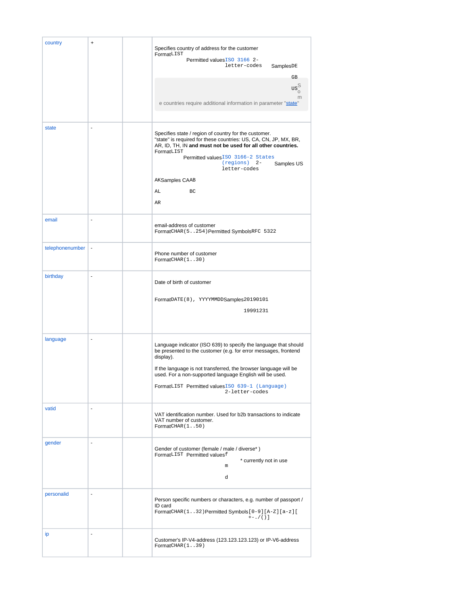| country         | $\ddot{}$                    | Specifies country of address for the customer<br>FormatLIST<br>Permitted values ISO 3166 2-<br>letter-codes<br>SamplesDE<br>GB.<br>$\text{us}_{\text{o}}^{\text{S}}$<br>m<br>e countries require additional information in parameter "state"                                                                                                           |
|-----------------|------------------------------|--------------------------------------------------------------------------------------------------------------------------------------------------------------------------------------------------------------------------------------------------------------------------------------------------------------------------------------------------------|
| state           | ÷,                           | Specifies state / region of country for the customer.<br>"state" is required for these countries: US, CA, CN, JP, MX, BR,<br>AR, ID, TH, IN and must not be used for all other countries.<br>FormatLIST<br>Permitted values ISO 3166-2 States<br>$(\text{regions})$ 2-<br>Samples US<br>letter-codes<br>AKSamples CAAB<br>AL<br>BC<br>AR               |
| email           | ÷,                           | email-address of customer<br>FormatCHAR (5254) Permitted SymbolsRFC 5322                                                                                                                                                                                                                                                                               |
| telephonenumber | $\blacksquare$               | Phone number of customer<br>FormatCHAR(1.30)                                                                                                                                                                                                                                                                                                           |
| birthday        | $\blacksquare$               | Date of birth of customer<br>FormatDATE(8), YYYYMMDDSamples20190101<br>19991231                                                                                                                                                                                                                                                                        |
| language        |                              | Language indicator (ISO 639) to specify the language that should<br>be presented to the customer (e.g. for error messages, frontend<br>display).<br>If the language is not transferred, the browser language will be<br>used. For a non-supported language English will be used.<br>FormatLIST Permitted values ISO 639-1 (Language)<br>2-letter-codes |
| vatid           | ٠                            | VAT identification number. Used for b2b transactions to indicate<br>VAT number of customer.<br>FormatCHAR(1.50)                                                                                                                                                                                                                                        |
| qender          | ٠                            | Gender of customer (female / male / diverse*)<br>FormatLIST Permitted valuesf<br>* currently not in use<br>m<br>d                                                                                                                                                                                                                                      |
| personalid      | $\blacksquare$               | Person specific numbers or characters, e.g. number of passport /<br>ID card<br>FormatCHAR(132)Permitted Symbols [0-9] [A-Z] [a-z] [<br>$+-./()$ ]                                                                                                                                                                                                      |
| ip              | $\qquad \qquad \blacksquare$ | Customer's IP-V4-address (123.123.123.123) or IP-V6-address<br>FormatCHAR(1.39)                                                                                                                                                                                                                                                                        |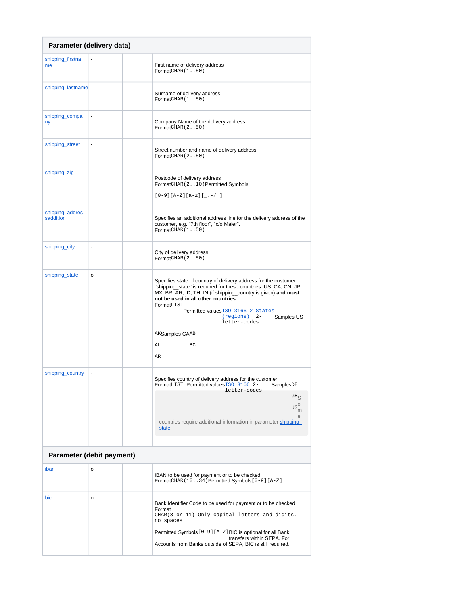<span id="page-5-1"></span><span id="page-5-0"></span>

| Parameter (delivery data)    |    |  |                                                                                                                                                                                                                                                                                                                                                                                        |  |  |
|------------------------------|----|--|----------------------------------------------------------------------------------------------------------------------------------------------------------------------------------------------------------------------------------------------------------------------------------------------------------------------------------------------------------------------------------------|--|--|
| shipping_firstna<br>me       |    |  | First name of delivery address<br>FormatCHAR(150)                                                                                                                                                                                                                                                                                                                                      |  |  |
| shipping_lastname -          |    |  | Surname of delivery address<br>FormatCHAR(150)                                                                                                                                                                                                                                                                                                                                         |  |  |
| shipping_compa<br>ny         | ۰  |  | Company Name of the delivery address<br>FormatCHAR (250)                                                                                                                                                                                                                                                                                                                               |  |  |
| shipping_street              | ÷  |  | Street number and name of delivery address<br>FormatCHAR (250)                                                                                                                                                                                                                                                                                                                         |  |  |
| shipping_zip                 | ÷, |  | Postcode of delivery address<br>FormatCHAR (210) Permitted Symbols<br>$[0-9][A-Z][a-z][$                                                                                                                                                                                                                                                                                               |  |  |
| shipping_addres<br>saddition | ÷, |  | Specifies an additional address line for the delivery address of the<br>customer, e.g. "7th floor", "c/o Maier".<br>FormatCHAR(1.50)                                                                                                                                                                                                                                                   |  |  |
| shipping_city                | ä, |  | City of delivery address<br>FormatCHAR (250)                                                                                                                                                                                                                                                                                                                                           |  |  |
| shipping_state               | o  |  | Specifies state of country of delivery address for the customer<br>"shipping_state" is required for these countries: US, CA, CN, JP,<br>MX, BR, AR, ID, TH, IN (if shipping_country is given) and must<br>not be used in all other countries.<br>FormatLIST<br>Permitted values ISO 3166-2 States<br>$(\text{regions})$ 2-<br>Samples US<br>letter-codes<br>AKSamples CAAB<br>AL<br>BC |  |  |
|                              |    |  | AR                                                                                                                                                                                                                                                                                                                                                                                     |  |  |
| shipping_country             | ÷, |  | Specifies country of delivery address for the customer<br>FormatLIST Permitted values ISO 3166 2-<br>SamplesDE<br>letter-codes<br>GB <sub>S</sub><br>$\mathrm{us}^{\mathrm{o}}_{\mathrm{m}}$<br>countries require additional information in parameter shipping<br>state                                                                                                                |  |  |
| Parameter (debit payment)    |    |  |                                                                                                                                                                                                                                                                                                                                                                                        |  |  |
| iban                         | o  |  | IBAN to be used for payment or to be checked<br>FormatCHAR (1034) Permitted Symbols [0-9] [A-Z]                                                                                                                                                                                                                                                                                        |  |  |
| bic                          | o  |  | Bank Identifier Code to be used for payment or to be checked<br>Format<br>CHAR(8 or 11) Only capital letters and digits,<br>no spaces<br>Permitted Symbols [ 0-9 ] [ A-Z ] BIC is optional for all Bank<br>transfers within SEPA. For<br>Accounts from Banks outside of SEPA, BIC is still required.                                                                                   |  |  |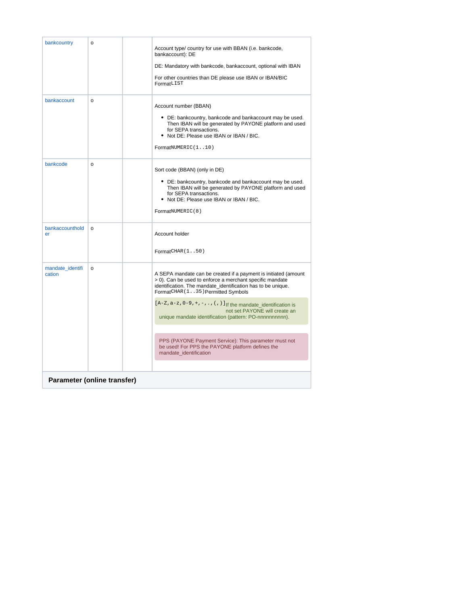<span id="page-6-0"></span>

| bankcountry                 | o        | Account type/ country for use with BBAN (i.e. bankcode,<br>bankaccount): DE<br>DE: Mandatory with bankcode, bankaccount, optional with IBAN<br>For other countries than DE please use IBAN or IBAN/BIC<br>FormatLIST                           |
|-----------------------------|----------|------------------------------------------------------------------------------------------------------------------------------------------------------------------------------------------------------------------------------------------------|
| bankaccount                 | $\Omega$ | Account number (BBAN)<br>• DE: bankcountry, bankcode and bankaccount may be used.<br>Then IBAN will be generated by PAYONE platform and used<br>for SEPA transactions.<br>• Not DE: Please use IBAN or IBAN / BIC.<br>FormatNUMERIC(110)       |
| bankcode                    | o        | Sort code (BBAN) (only in DE)<br>• DE: bankcountry, bankcode and bankaccount may be used.<br>Then IBAN will be generated by PAYONE platform and used<br>for SEPA transactions.<br>. Not DE: Please use IBAN or IBAN / BIC.<br>FormatNUMERIC(8) |
| bankaccounthold<br>er       | o        | Account holder<br>FormatCHAR(1.50)                                                                                                                                                                                                             |
| mandate identifi<br>cation  | o        | A SEPA mandate can be created if a payment is initiated (amount<br>> 0). Can be used to enforce a merchant specific mandate<br>identification. The mandate_identification has to be unique.<br>FormatCHAR (135) Permitted Symbols              |
|                             |          | $[A-Z, a-z, 0-9, +, -, . , (,) ]$ If the mandate_identification is<br>not set PAYONE will create an<br>unique mandate identification (pattern: PO-nnnnnnnnnn).                                                                                 |
|                             |          |                                                                                                                                                                                                                                                |
|                             |          | PPS (PAYONE Payment Service): This parameter must not<br>be used! For PPS the PAYONE platform defines the<br>mandate identification                                                                                                            |
|                             |          |                                                                                                                                                                                                                                                |
| Parameter (online transfer) |          |                                                                                                                                                                                                                                                |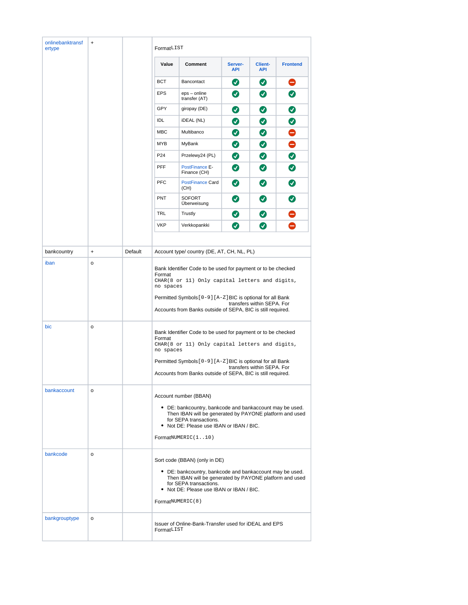| onlinebanktransf<br>ertype | $\ddot{}$ |         | FormatLIST                                                                                                                                                                                                                                                                                           |                                                       |                       |                       |                 |  |
|----------------------------|-----------|---------|------------------------------------------------------------------------------------------------------------------------------------------------------------------------------------------------------------------------------------------------------------------------------------------------------|-------------------------------------------------------|-----------------------|-----------------------|-----------------|--|
|                            |           |         | Value                                                                                                                                                                                                                                                                                                | Comment                                               | Server-<br><b>API</b> | Client-<br><b>API</b> | <b>Frontend</b> |  |
|                            |           |         | <b>BCT</b>                                                                                                                                                                                                                                                                                           | Bancontact                                            | $\bm{\bm{\omega}}$    | $\bullet$             | 0               |  |
|                            |           |         | <b>EPS</b>                                                                                                                                                                                                                                                                                           | eps - online<br>transfer (AT)                         | $\bm{\bm\omega}$      | $\boldsymbol{\omega}$ | Ø               |  |
|                            |           |         | GPY                                                                                                                                                                                                                                                                                                  | giropay (DE)                                          | Ø                     | Ø                     | ◙               |  |
|                            |           |         | IDL                                                                                                                                                                                                                                                                                                  | iDEAL (NL)                                            | Ø                     | Ø                     | ◙               |  |
|                            |           |         | <b>MBC</b>                                                                                                                                                                                                                                                                                           | Multibanco                                            | Ø                     | Ø                     | $\bullet$       |  |
|                            |           |         | <b>MYB</b>                                                                                                                                                                                                                                                                                           | MyBank                                                | Ø                     | Ø                     | $\bullet$       |  |
|                            |           |         | P24                                                                                                                                                                                                                                                                                                  | Przelewy24 (PL)                                       | Ø                     | Ø                     | $\bullet$       |  |
|                            |           |         | <b>PFF</b>                                                                                                                                                                                                                                                                                           | PostFinance E-<br>Finance (CH)                        | Ø                     | $\boldsymbol{\omega}$ | ◙               |  |
|                            |           |         | <b>PFC</b>                                                                                                                                                                                                                                                                                           | <b>PostFinance Card</b><br>(CH)                       | Ø                     | Ø                     | $\bullet$       |  |
|                            |           |         | <b>PNT</b>                                                                                                                                                                                                                                                                                           | <b>SOFORT</b><br>Uberweisung                          | $\boldsymbol{\omega}$ | $\bullet$             | ◙               |  |
|                            |           |         | <b>TRL</b>                                                                                                                                                                                                                                                                                           | Trustly                                               | Ø                     | Ø                     |                 |  |
|                            |           |         | <b>VKP</b>                                                                                                                                                                                                                                                                                           | Verkkopankki                                          | $\boldsymbol{\omega}$ | Ø                     | ●               |  |
|                            |           |         |                                                                                                                                                                                                                                                                                                      |                                                       |                       |                       |                 |  |
| bankcountry                | $\ddot{}$ | Default |                                                                                                                                                                                                                                                                                                      | Account type/ country (DE, AT, CH, NL, PL)            |                       |                       |                 |  |
| bic                        | o         |         | Bank Identifier Code to be used for payment or to be checked<br>Format<br>CHAR(8 or 11) Only capital letters and digits,<br>no spaces<br>Permitted Symbols [ 0-9 ] [ A-Z ] BIC is optional for all Bank<br>transfers within SEPA. For<br>Accounts from Banks outside of SEPA, BIC is still required. |                                                       |                       |                       |                 |  |
|                            |           |         | Bank Identifier Code to be used for payment or to be checked<br>Format<br>CHAR(8 or 11) Only capital letters and digits,<br>no spaces<br>Permitted Symbols [ 0-9 ] [ A-Z ] BIC is optional for all Bank<br>transfers within SEPA. For<br>Accounts from Banks outside of SEPA, BIC is still required. |                                                       |                       |                       |                 |  |
| bankaccount                | o         |         | Account number (BBAN)<br>• DE: bankcountry, bankcode and bankaccount may be used.<br>Then IBAN will be generated by PAYONE platform and used<br>for SEPA transactions.<br>• Not DE: Please use IBAN or IBAN / BIC.<br>FormatNUMERIC(110)                                                             |                                                       |                       |                       |                 |  |
| bankcode                   | o         |         | Sort code (BBAN) (only in DE)<br>• DE: bankcountry, bankcode and bankaccount may be used.<br>Then IBAN will be generated by PAYONE platform and used<br>for SEPA transactions.<br>• Not DE: Please use IBAN or IBAN / BIC.<br>FormatNUMERIC(8)                                                       |                                                       |                       |                       |                 |  |
| bankgrouptype              | o         |         | FormatLIST                                                                                                                                                                                                                                                                                           | Issuer of Online-Bank-Transfer used for iDEAL and EPS |                       |                       |                 |  |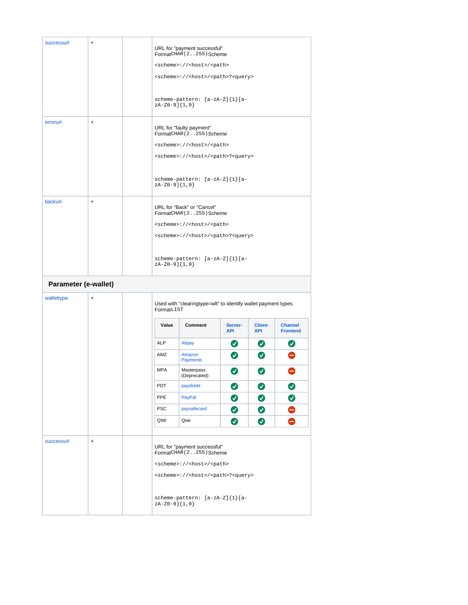<span id="page-8-0"></span>

| successurl           | $\ddot{}$ |                                                                                                         | URL for "payment successful"<br>FormatCHAR (2255) Scheme        |                       |                              |                                   |  |  |
|----------------------|-----------|---------------------------------------------------------------------------------------------------------|-----------------------------------------------------------------|-----------------------|------------------------------|-----------------------------------|--|--|
|                      |           | <scheme>://<host>/<path></path></host></scheme>                                                         |                                                                 |                       |                              |                                   |  |  |
|                      |           | <scheme>://<host>/<path>?<query></query></path></host></scheme>                                         |                                                                 |                       |                              |                                   |  |  |
|                      |           |                                                                                                         |                                                                 |                       |                              |                                   |  |  |
|                      |           | scheme-pattern: [a-zA-Z]{1}[a-<br>$zA-Z0-9$ ] $\{1,9\}$                                                 |                                                                 |                       |                              |                                   |  |  |
| errorurl             | $\ddot{}$ | URL for "faulty payment"<br>FormatCHAR (2255) Scheme<br><scheme>://<host>/<path></path></host></scheme> |                                                                 |                       |                              |                                   |  |  |
|                      |           |                                                                                                         | <scheme>://<host>/<path>?<query></query></path></host></scheme> |                       |                              |                                   |  |  |
|                      |           | $zA-Z0-9$ ] ${1,9}$                                                                                     | scheme-pattern: [a-zA-Z]{1}[a-                                  |                       |                              |                                   |  |  |
| backurl              | $\ddot{}$ | URL for "Back" or "Cancel"<br>FormatCHAR (2255) Scheme                                                  |                                                                 |                       |                              |                                   |  |  |
|                      |           |                                                                                                         | <scheme>://<host>/<path></path></host></scheme>                 |                       |                              |                                   |  |  |
|                      |           |                                                                                                         | <scheme>://<host>/<path>?<query></query></path></host></scheme> |                       |                              |                                   |  |  |
|                      |           |                                                                                                         |                                                                 |                       |                              |                                   |  |  |
|                      |           | $zA-Z0-9$ ] $\{1,9\}$                                                                                   | scheme-pattern: [a-zA-Z]{1}[a-                                  |                       |                              |                                   |  |  |
| Parameter (e-wallet) |           |                                                                                                         |                                                                 |                       |                              |                                   |  |  |
| wallettype           | $\ddot{}$ | FormatLIST                                                                                              | Used with "clearingtype=wlt" to identify wallet payment types   |                       |                              |                                   |  |  |
|                      |           |                                                                                                         |                                                                 |                       |                              |                                   |  |  |
|                      |           | Value                                                                                                   | Comment                                                         | Server-<br><b>API</b> | <b>Client-</b><br><b>API</b> | <b>Channel</b><br><b>Frontend</b> |  |  |
|                      |           | <b>ALP</b>                                                                                              | <b>Alipay</b>                                                   | $\bullet$             | $\bullet$                    | $\bullet$                         |  |  |
|                      |           | AMZ                                                                                                     | Amazon<br><b>Payments</b>                                       | $\bullet$             | $\boldsymbol{\omega}$        | $\bullet$                         |  |  |
|                      |           | <b>MPA</b>                                                                                              | Masterpass<br>(Deprecated)                                      | Ø                     | Ø                            |                                   |  |  |
|                      |           | <b>PDT</b>                                                                                              | paydirekt                                                       | ◙                     | ◙                            | ◙                                 |  |  |
|                      |           |                                                                                                         |                                                                 |                       |                              |                                   |  |  |
|                      |           | PPE                                                                                                     | PayPal                                                          | ◙                     | ◙                            | $\bullet$                         |  |  |
|                      |           | <b>PSC</b>                                                                                              | paysafecard                                                     | $\bullet$             | $\bullet$                    | $\bullet$                         |  |  |
|                      |           | QIW                                                                                                     | Qiwi                                                            | ◙                     | ◙                            |                                   |  |  |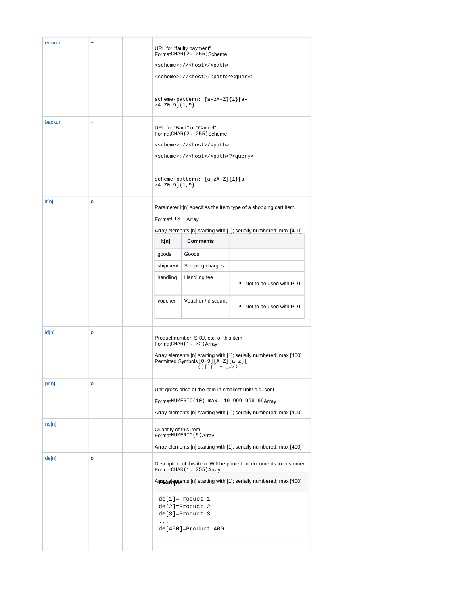| errorurl<br>backurl | $\ddot{}$<br>$\ddot{}$ | URL for "faulty payment"<br>FormatCHAR (2255) Scheme<br><scheme>://<host>/<path><br/><scheme>://<host>/<path>?<query><br/>scheme-pattern: [a-zA-Z]{1}[a-<br/><math>zA-Z0-9</math>] <math>\{1,9\}</math><br/>URL for "Back" or "Cancel"<br/>FormatCHAR (2255) Scheme<br/><scheme>://<host>/<path><br/><scheme>://<host>/<path>?<query><br/>scheme-pattern: <math>[a-zA-Z]{1} [a-</math><br/>zA-Z0-9]{1,9}</query></path></host></scheme></path></host></scheme></query></path></host></scheme></path></host></scheme> |                                                                                    |                                                                                                                                                                                                  |  |  |
|---------------------|------------------------|----------------------------------------------------------------------------------------------------------------------------------------------------------------------------------------------------------------------------------------------------------------------------------------------------------------------------------------------------------------------------------------------------------------------------------------------------------------------------------------------------------------------|------------------------------------------------------------------------------------|--------------------------------------------------------------------------------------------------------------------------------------------------------------------------------------------------|--|--|
| it[n]               | o                      | FormatLIST Array<br>it[n]<br>goods<br>shipment<br>handling<br>voucher                                                                                                                                                                                                                                                                                                                                                                                                                                                | <b>Comments</b><br>Goods<br>Shipping charges<br>Handling fee<br>Voucher / discount | Parameter it[n] specifies the item type of a shopping cart item.<br>Array elements [n] starting with [1]; serially numbered; max [400]<br>• Not to be used with PDT<br>• Not to be used with PDT |  |  |
| id[n]               | o                      | Product number, SKU, etc. of this item<br>FormatCHAR(132) Array<br>Array elements [n] starting with [1]; serially numbered; max [400]<br>Permitted Symbols [0-9] [A-Z] [a-z] [<br>$() []$ { } +-_#/: ]                                                                                                                                                                                                                                                                                                               |                                                                                    |                                                                                                                                                                                                  |  |  |
| pr[n]<br>no[n]      | О                      | Unit gross price of the item in smallest unit! e.g. cent<br>FormatNUMERIC(10) max. 19 999 999 99Array<br>Array elements [n] starting with [1]; serially numbered; max [400]                                                                                                                                                                                                                                                                                                                                          |                                                                                    |                                                                                                                                                                                                  |  |  |
|                     |                        | Quantity of this item                                                                                                                                                                                                                                                                                                                                                                                                                                                                                                | FormatNUMERIC(6) Array                                                             |                                                                                                                                                                                                  |  |  |
| de[n]               | o                      | Array elements [n] starting with [1]; serially numbered; max [400]<br>Description of this item. Will be printed on documents to customer.<br>FormatCHAR (1255) Array<br>Arrewarringthat [n] starting with [1]; serially numbered; max [400]<br>$de[1] = Product 1$<br>de[2]=Product 2<br>de[3]=Product 3<br>$\ldots$<br>de[400]=Product 400                                                                                                                                                                          |                                                                                    |                                                                                                                                                                                                  |  |  |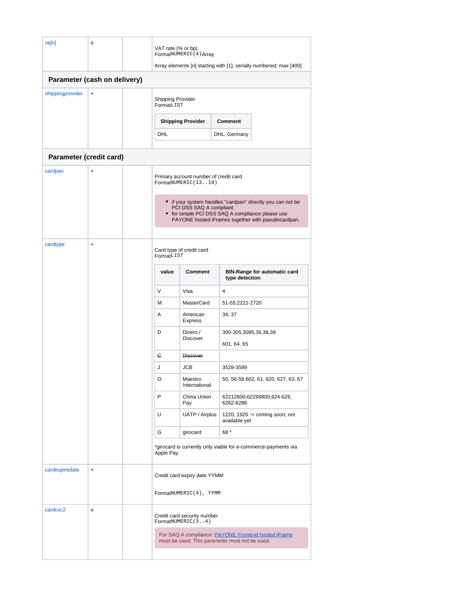<span id="page-10-1"></span><span id="page-10-0"></span>

| va[n]                        | o         |                                                                                                                                                                                                  | VAT rate (% or bp)<br>FormatNUMERIC (4) Array |                                                              |                                                |                                                                    |  |
|------------------------------|-----------|--------------------------------------------------------------------------------------------------------------------------------------------------------------------------------------------------|-----------------------------------------------|--------------------------------------------------------------|------------------------------------------------|--------------------------------------------------------------------|--|
|                              |           |                                                                                                                                                                                                  |                                               |                                                              |                                                | Array elements [n] starting with [1]; serially numbered; max [400] |  |
| Parameter (cash on delivery) |           |                                                                                                                                                                                                  |                                               |                                                              |                                                |                                                                    |  |
| shippingprovider             | $\ddot{}$ |                                                                                                                                                                                                  | Shipping Provider<br>FormatLIST               |                                                              |                                                |                                                                    |  |
|                              |           |                                                                                                                                                                                                  |                                               | <b>Shipping Provider</b>                                     | Comment                                        |                                                                    |  |
|                              |           |                                                                                                                                                                                                  | DHL                                           |                                                              | DHL, Germany                                   |                                                                    |  |
| Parameter (credit card)      |           |                                                                                                                                                                                                  |                                               |                                                              |                                                |                                                                    |  |
| cardpan                      | $\ddot{}$ |                                                                                                                                                                                                  |                                               | Primary account number of credit card<br>FormatNUMERIC(1319) |                                                |                                                                    |  |
|                              |           | • if your system handles "cardpan" directly you can not be<br>PCI DSS SAQ A compliant.<br>• for simple PCI DSS SAQ A compliance please use<br>PAYONE hosted iFrames together with pseudocardpan. |                                               |                                                              |                                                |                                                                    |  |
| cardtype                     | $\ddot{}$ |                                                                                                                                                                                                  | Card type of credit card<br>FormatLIST        |                                                              |                                                |                                                                    |  |
|                              |           |                                                                                                                                                                                                  | value                                         | Comment                                                      | type detection                                 | <b>BIN-Range for automatic card</b>                                |  |
|                              |           |                                                                                                                                                                                                  | $\vee$                                        | Visa                                                         | 4                                              |                                                                    |  |
|                              |           |                                                                                                                                                                                                  | M                                             | <b>MasterCard</b>                                            | 51-55,2221-2720                                |                                                                    |  |
|                              |           |                                                                                                                                                                                                  | A                                             | American<br><b>Express</b>                                   | 34, 37                                         |                                                                    |  |
|                              |           |                                                                                                                                                                                                  | D                                             | Diners /<br><b>Discover</b>                                  | 300-305,3095,36,38,39<br>601, 64, 65           |                                                                    |  |
|                              |           |                                                                                                                                                                                                  | G                                             | Discover                                                     |                                                |                                                                    |  |
|                              |           |                                                                                                                                                                                                  | J                                             | JCB                                                          | 3528-3589                                      |                                                                    |  |
|                              |           |                                                                                                                                                                                                  | O                                             | Maestro<br>International                                     |                                                | 50, 56-58, 602, 61, 620, 627, 63, 67                               |  |
|                              |           |                                                                                                                                                                                                  | P                                             | China Union<br>Pay                                           | 6282-6288                                      | 62212600-62299800,624-626,                                         |  |
|                              |           |                                                                                                                                                                                                  | U                                             | UATP / Airplus                                               | available yet                                  | 1220, 1920 -> coming soon; not                                     |  |
|                              |           |                                                                                                                                                                                                  | G                                             | girocard                                                     | 68 *                                           |                                                                    |  |
|                              |           |                                                                                                                                                                                                  | Apple Pay.                                    |                                                              |                                                | *girocard is currently only viable for e-commerce-payments via     |  |
| cardexpiredate               | $\ddot{}$ |                                                                                                                                                                                                  |                                               | Credit card expiry date YYMM                                 |                                                |                                                                    |  |
|                              |           |                                                                                                                                                                                                  |                                               | FormatNUMERIC(4), YYMM                                       |                                                |                                                                    |  |
| cardcvc2                     | o         |                                                                                                                                                                                                  |                                               | Credit card security number<br>FormatNUMERIC(34)             |                                                |                                                                    |  |
|                              |           |                                                                                                                                                                                                  |                                               |                                                              | must be used. This parameter must not be used. | For SAQ A compliance: <b>PAYONE Frontend hosted iFrame</b>         |  |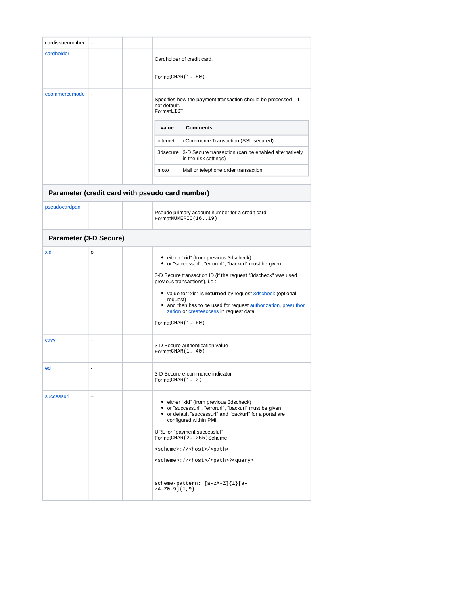<span id="page-11-1"></span><span id="page-11-0"></span>

| cardissuenumber                                 |           |                                                                                                                                                                                                                                                                                                                                                                                                               |                                                                                                                                                                                                                                                                                                                                                                                                                         |  |
|-------------------------------------------------|-----------|---------------------------------------------------------------------------------------------------------------------------------------------------------------------------------------------------------------------------------------------------------------------------------------------------------------------------------------------------------------------------------------------------------------|-------------------------------------------------------------------------------------------------------------------------------------------------------------------------------------------------------------------------------------------------------------------------------------------------------------------------------------------------------------------------------------------------------------------------|--|
| cardholder                                      | L.        | FormatCHAR(1.50)                                                                                                                                                                                                                                                                                                                                                                                              | Cardholder of credit card.                                                                                                                                                                                                                                                                                                                                                                                              |  |
| ecommercemode                                   | ÷,        | Specifies how the payment transaction should be processed - if<br>not default.<br>FormatLIST                                                                                                                                                                                                                                                                                                                  |                                                                                                                                                                                                                                                                                                                                                                                                                         |  |
|                                                 |           | value                                                                                                                                                                                                                                                                                                                                                                                                         | <b>Comments</b>                                                                                                                                                                                                                                                                                                                                                                                                         |  |
|                                                 |           | internet                                                                                                                                                                                                                                                                                                                                                                                                      | eCommerce Transaction (SSL secured)                                                                                                                                                                                                                                                                                                                                                                                     |  |
|                                                 |           |                                                                                                                                                                                                                                                                                                                                                                                                               | 3dsecure 3-D Secure transaction (can be enabled alternatively<br>in the risk settings)                                                                                                                                                                                                                                                                                                                                  |  |
|                                                 |           | moto                                                                                                                                                                                                                                                                                                                                                                                                          | Mail or telephone order transaction                                                                                                                                                                                                                                                                                                                                                                                     |  |
| Parameter (credit card with pseudo card number) |           |                                                                                                                                                                                                                                                                                                                                                                                                               |                                                                                                                                                                                                                                                                                                                                                                                                                         |  |
| pseudocardpan                                   | $\ddot{}$ |                                                                                                                                                                                                                                                                                                                                                                                                               | Pseudo primary account number for a credit card.<br>FormatNUMERIC(1619)                                                                                                                                                                                                                                                                                                                                                 |  |
| Parameter (3-D Secure)                          |           |                                                                                                                                                                                                                                                                                                                                                                                                               |                                                                                                                                                                                                                                                                                                                                                                                                                         |  |
| xid                                             | о         | • either "xid" (from previous 3dscheck)<br>or "successurl", "errorurl", "backurl" must be given.<br>3-D Secure transaction ID (if the request "3dscheck" was used<br>previous transactions), i.e.:<br>• value for "xid" is returned by request 3dscheck (optional<br>request)<br>• and then has to be used for request authorization, preauthori<br>zation or createaccess in request data<br>FormatCHAR(160) |                                                                                                                                                                                                                                                                                                                                                                                                                         |  |
| cavv                                            |           | 3-D Secure authentication value<br>FormatCHAR(1.140)                                                                                                                                                                                                                                                                                                                                                          |                                                                                                                                                                                                                                                                                                                                                                                                                         |  |
| eci                                             | ÷,        | 3-D Secure e-commerce indicator<br>FormatCHAR(12)                                                                                                                                                                                                                                                                                                                                                             |                                                                                                                                                                                                                                                                                                                                                                                                                         |  |
| successurl                                      | +         | zA-Z0-9]{1,9}                                                                                                                                                                                                                                                                                                                                                                                                 | • either "xid" (from previous 3dscheck)<br>• or "successurl", "errorurl", "backurl" must be given<br>• or default "successurl" and "backurl" for a portal are<br>configured within PMI.<br>URL for "payment successful"<br>FormatCHAR (2255) Scheme<br><scheme>://<host>/<path><br/><scheme>://<host>/<path>?<query><br/>scheme-pattern: <math>[a-zA-Z]{1}</math></query></path></host></scheme></path></host></scheme> |  |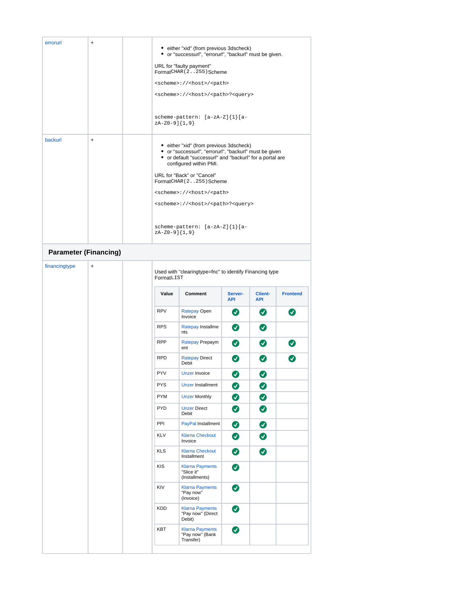<span id="page-12-0"></span>

| errorurl      | $\ddot{}$                    |                                                                       | • either "xid" (from previous 3dscheck)                                                                                                                                                                                                           |                       |                              |                            |  |
|---------------|------------------------------|-----------------------------------------------------------------------|---------------------------------------------------------------------------------------------------------------------------------------------------------------------------------------------------------------------------------------------------|-----------------------|------------------------------|----------------------------|--|
|               |                              |                                                                       | • or "successurl", "errorurl", "backurl" must be given.                                                                                                                                                                                           |                       |                              |                            |  |
|               |                              |                                                                       | URL for "faulty payment"<br>FormatCHAR (2255) Scheme                                                                                                                                                                                              |                       |                              |                            |  |
|               |                              | <scheme>://<host>/<path></path></host></scheme>                       |                                                                                                                                                                                                                                                   |                       |                              |                            |  |
|               |                              |                                                                       | <scheme>://<host>/<path>?<query></query></path></host></scheme>                                                                                                                                                                                   |                       |                              |                            |  |
|               |                              | zA-Z0-9]{1,9}                                                         | scheme-pattern: [a-zA-Z]{1}[a-                                                                                                                                                                                                                    |                       |                              |                            |  |
| backurl       | $\ddot{}$                    |                                                                       | • either "xid" (from previous 3dscheck)<br>• or "successurl", "errorurl", "backurl" must be given<br>• or default "successurl" and "backurl" for a portal are<br>configured within PMI.<br>URL for "Back" or "Cancel"<br>FormatCHAR (2255) Scheme |                       |                              |                            |  |
|               |                              |                                                                       | <scheme>://<host>/<path></path></host></scheme>                                                                                                                                                                                                   |                       |                              |                            |  |
|               |                              |                                                                       | <scheme>://<host>/<path>?<query></query></path></host></scheme>                                                                                                                                                                                   |                       |                              |                            |  |
|               |                              | zA-Z0-9]{1,9}                                                         | scheme-pattern: [a-zA-Z]{1}[a-                                                                                                                                                                                                                    |                       |                              |                            |  |
|               | <b>Parameter (Financing)</b> |                                                                       |                                                                                                                                                                                                                                                   |                       |                              |                            |  |
| financingtype | $\ddot{}$                    | Used with "clearingtype=fnc" to identify Financing type<br>FormatLIST |                                                                                                                                                                                                                                                   |                       |                              |                            |  |
|               |                              | Value                                                                 | Comment                                                                                                                                                                                                                                           | Server-<br><b>API</b> | <b>Client-</b><br><b>API</b> | <b>Frontend</b>            |  |
|               |                              | <b>RPV</b>                                                            | Ratepay Open<br>Invoice                                                                                                                                                                                                                           | $\bullet$             | Ø                            | Ø                          |  |
|               |                              | <b>RPS</b>                                                            | Ratepay Installme<br>nts                                                                                                                                                                                                                          | Ø                     | Ø                            |                            |  |
|               |                              | <b>RPP</b>                                                            | Ratepay Prepaym<br>ent                                                                                                                                                                                                                            | Ø                     | $\bm{\sigma}$                | $\left( \mathbf{v}\right)$ |  |
|               |                              | <b>RPD</b>                                                            | <b>Ratepay Direct</b><br>Debit                                                                                                                                                                                                                    | Ø                     | Ø                            | Ø                          |  |
|               |                              | <b>PYV</b>                                                            | <b>Unzer Invoice</b>                                                                                                                                                                                                                              | Ø                     | Ø                            |                            |  |
|               |                              | <b>PYS</b>                                                            | <b>Unzer Installment</b>                                                                                                                                                                                                                          | ◙                     | ◙                            |                            |  |
|               |                              | <b>PYM</b>                                                            | <b>Unzer Monthly</b>                                                                                                                                                                                                                              | $\bullet$             | ◙                            |                            |  |
|               |                              | <b>PYD</b>                                                            | <b>Unzer Direct</b><br>Debit                                                                                                                                                                                                                      | $\bullet$             | ◙                            |                            |  |
|               |                              | PPI                                                                   | PayPal Installment                                                                                                                                                                                                                                | ◙                     | ◙                            |                            |  |
|               |                              | <b>KLV</b>                                                            | <b>Klarna Checkout</b><br>Invoice                                                                                                                                                                                                                 | ◙                     | Ø                            |                            |  |
|               |                              | <b>KLS</b>                                                            | <b>Klarna Checkout</b><br>Installment                                                                                                                                                                                                             | $\bullet$             | ◐                            |                            |  |
|               |                              | KIS                                                                   | <b>Klarna Payments</b><br>"Slice it"<br>(Installments)                                                                                                                                                                                            | ◙                     |                              |                            |  |
|               |                              | KIV                                                                   | <b>Klarna Payments</b><br>"Pay now"<br>(Invoice)                                                                                                                                                                                                  | ◙                     |                              |                            |  |
|               |                              | KDD                                                                   | <b>Klarna Payments</b>                                                                                                                                                                                                                            | Ø                     |                              |                            |  |
|               |                              |                                                                       | "Pay now" (Direct<br>Debit)                                                                                                                                                                                                                       |                       |                              |                            |  |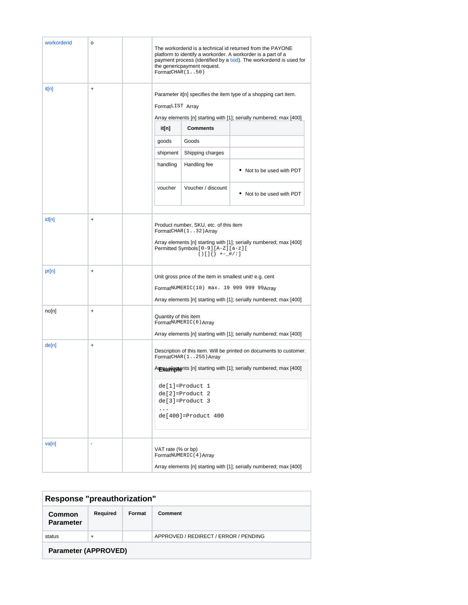| workorderid | o         | The workorderid is a technical id returned from the PAYONE<br>platform to identify a workorder. A workorder is a part of a<br>payment process (identified by a txid). The workorderid is used for<br>the genericpayment request.<br>FormatCHAR(150) |                         |                                                                    |  |
|-------------|-----------|-----------------------------------------------------------------------------------------------------------------------------------------------------------------------------------------------------------------------------------------------------|-------------------------|--------------------------------------------------------------------|--|
| it[n]<br>+  |           | Parameter it[n] specifies the item type of a shopping cart item.<br>FormatLIST Array<br>Array elements [n] starting with [1]; serially numbered; max [400]                                                                                          |                         |                                                                    |  |
|             |           | it[n]                                                                                                                                                                                                                                               | <b>Comments</b>         |                                                                    |  |
|             |           | goods                                                                                                                                                                                                                                               | Goods                   |                                                                    |  |
|             |           | shipment                                                                                                                                                                                                                                            | Shipping charges        |                                                                    |  |
|             |           | handling                                                                                                                                                                                                                                            | Handling fee            | • Not to be used with PDT                                          |  |
|             |           | voucher                                                                                                                                                                                                                                             | Voucher / discount      | • Not to be used with PDT                                          |  |
| id[n]       | +         | Product number, SKU, etc. of this item<br>FormatCHAR(132) Array<br>Array elements [n] starting with [1]; serially numbered; max [400]<br>Permitted Symbols [0-9] [A-Z] [a-z] [<br>$() [] \}$ +-_#/:]                                                |                         |                                                                    |  |
| pr[n]       | $\ddot{}$ | Unit gross price of the item in smallest unit! e.g. cent<br>FormatNUMERIC(10) max. 19 999 999 99Array<br>Array elements [n] starting with [1]; serially numbered; max [400]                                                                         |                         |                                                                    |  |
| no[n]       | +         | Quantity of this item                                                                                                                                                                                                                               | FormatNUMERIC(6) Array  | Array elements [n] starting with [1]; serially numbered; max [400] |  |
| de[n]<br>+  |           | Description of this item. Will be printed on documents to customer.<br>FormatCHAR (1255) Array                                                                                                                                                      |                         |                                                                    |  |
|             |           | Arrewarring nts [n] starting with [1]; serially numbered; max [400]<br>$de[1] = Product 1$<br>$de[2] = Product 2$<br>$de[3] = Product 3$<br>$\cdots$<br>de[400]=Product 400                                                                         |                         |                                                                    |  |
| va[n]       | $\sim$    | VAT rate (% or bp)                                                                                                                                                                                                                                  | FormatNUMERIC (4) Array | Array elements [n] starting with [1]; serially numbered; max [400] |  |

<span id="page-13-2"></span><span id="page-13-1"></span><span id="page-13-0"></span>

| <b>Response "preauthorization"</b> |           |        |                                       |  |
|------------------------------------|-----------|--------|---------------------------------------|--|
| Common<br><b>Parameter</b>         | Required  | Format | Comment                               |  |
| status                             | $\ddot{}$ |        | APPROVED / REDIRECT / ERROR / PENDING |  |
| <b>Parameter (APPROVED)</b>        |           |        |                                       |  |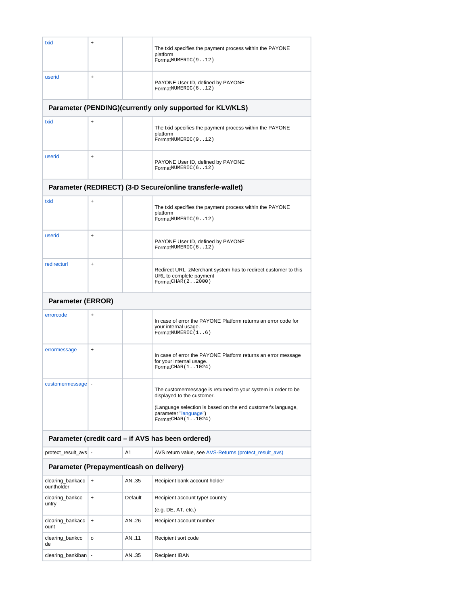<span id="page-14-4"></span><span id="page-14-3"></span><span id="page-14-2"></span><span id="page-14-1"></span><span id="page-14-0"></span>

| txid                                                            | +                                                 |         | The txid specifies the payment process within the PAYONE<br>platform<br>FormatNUMERIC(912)                                                                                                                 |  |  |  |  |
|-----------------------------------------------------------------|---------------------------------------------------|---------|------------------------------------------------------------------------------------------------------------------------------------------------------------------------------------------------------------|--|--|--|--|
| userid                                                          | +                                                 |         | PAYONE User ID, defined by PAYONE<br>FormatNUMERIC(612)                                                                                                                                                    |  |  |  |  |
|                                                                 |                                                   |         | Parameter (PENDING)(currently only supported for KLV/KLS)                                                                                                                                                  |  |  |  |  |
| txid                                                            | $\ddot{}$                                         |         | The txid specifies the payment process within the PAYONE<br>platform<br>FormatNUMERIC(912)                                                                                                                 |  |  |  |  |
| userid                                                          | $\ddot{}$                                         |         | PAYONE User ID, defined by PAYONE<br>FormatNUMERIC(612)                                                                                                                                                    |  |  |  |  |
|                                                                 |                                                   |         | Parameter (REDIRECT) (3-D Secure/online transfer/e-wallet)                                                                                                                                                 |  |  |  |  |
| txid                                                            | $\ddot{}$                                         |         | The txid specifies the payment process within the PAYONE<br>platform<br>FormatNUMERIC(912)                                                                                                                 |  |  |  |  |
| userid                                                          | $\ddot{}$                                         |         | PAYONE User ID, defined by PAYONE<br>FormatNUMERIC(612)                                                                                                                                                    |  |  |  |  |
| redirecturl                                                     | $\ddot{}$                                         |         | Redirect URL zMerchant system has to redirect customer to this<br>URL to complete payment<br>FormatCHAR (22000)                                                                                            |  |  |  |  |
| <b>Parameter (ERROR)</b>                                        |                                                   |         |                                                                                                                                                                                                            |  |  |  |  |
| errorcode                                                       | +                                                 |         | In case of error the PAYONE Platform returns an error code for<br>your internal usage.<br>FormatNUMERIC(16)                                                                                                |  |  |  |  |
| errormessage                                                    | $\ddot{}$                                         |         | In case of error the PAYONE Platform returns an error message<br>for your internal usage.<br>FormatCHAR (11024)                                                                                            |  |  |  |  |
| customermessage -                                               |                                                   |         | The customermessage is returned to your system in order to be<br>displayed to the customer.<br>(Language selection is based on the end customer's language,<br>parameter "language")<br>FormatCHAR (11024) |  |  |  |  |
|                                                                 | Parameter (credit card - if AVS has been ordered) |         |                                                                                                                                                                                                            |  |  |  |  |
|                                                                 |                                                   | A1      | AVS return value, see AVS-Returns (protect_result_avs)                                                                                                                                                     |  |  |  |  |
| protect_result_avs -<br>Parameter (Prepayment/cash on delivery) |                                                   |         |                                                                                                                                                                                                            |  |  |  |  |
| clearing_bankacc                                                | $\ddot{}$                                         | AN35    | Recipient bank account holder                                                                                                                                                                              |  |  |  |  |
| ountholder<br>clearing_bankco<br>untry                          | $\ddot{}$                                         | Default | Recipient account type/ country<br>(e.g. DE, AT, etc.)                                                                                                                                                     |  |  |  |  |
| clearing_bankacc<br>ount                                        | $\ddot{}$                                         | AN26    | Recipient account number                                                                                                                                                                                   |  |  |  |  |
| clearing_bankco<br>de                                           | o                                                 | AN11    | Recipient sort code                                                                                                                                                                                        |  |  |  |  |
| clearing_bankiban  -                                            |                                                   | AN35    | <b>Recipient IBAN</b>                                                                                                                                                                                      |  |  |  |  |